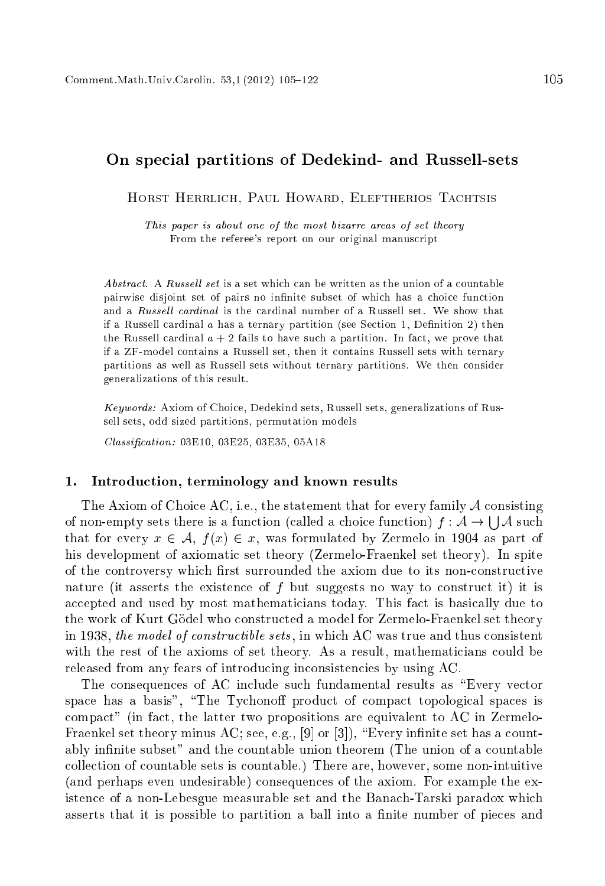# On spe
ial partitions of Dedekind- and Russell-sets

HORST HERRLICH, PAUL HOWARD, ELEFTHERIOS TACHTSIS

This paper is about one of the most bizarre areas of set theory From the referee's report on our original manuscript

*Abstract.* A *Russell set* is a set which can be written as the union of a countable pairwise disjoint set of pairs no infinite subset of which has a choice function and a Russell cardinal is the cardinal number of a Russell set. We show that if a Russell cardinal  $\alpha$  has a ternary partition (see Section 1, Definition 2) then the Russell cardinal  $a + 2$  fails to have such a partition. In fact, we prove that if <sup>a</sup> ZF-model ontains a Russell set, then it ontains Russell sets with ternary partitions as well as Russell sets without ternary partitions. We then onsider generalizations of this result.

Keywords: Axiom of Choi
e, Dedekind sets, Russell sets, generalizations of Russell sets, odd sized partitions, permutation models

Classification: 03E10, 03E25, 03E35, 05A18

#### 1. Introdu
tion, terminology and known results

The Axiom of Choice AC, i.e., the statement that for every family  $A$  consisting of non-empty sets there is a function (called a choice function)  $f: \mathcal{A} \to \mathcal{A}$  such that for every  $x \in A$ ,  $f(x) \in x$ , was formulated by Zermelo in 1904 as part of his development of axiomatic set theory (Zermelo-Fraenkel set theory). In spite of the controversy which first surrounded the axiom due to its non-constructive nature (it asserts the existence of  $f$  but suggests no way to construct it) it is accepted and used by most mathematicians today. This fact is basically due to the work of Kurt Gödel who constructed a model for Zermelo-Fraenkel set theory in 1938, the model of constructible sets, in which AC was true and thus consistent with the rest of the axioms of set theory. As a result, mathematicians could be released from any fears of introducing inconsistencies by using AC.

The consequences of AC include such fundamental results as "Every vector" space has a basis", "The Tychonoff product of compact topological spaces is ompa
t" (in fa
t, the latter two propositions are equivalent to AC in Zermelo-Fraenkel set theory minus AC; see, e.g.,  $[9]$  or  $[3]$ ), "Every infinite set has a countably infinite subset" and the countable union theorem (The union of a countable olle
tion of ountable sets is ountable.) There are, however, some non-intuitive (and perhaps even undesirable) onsequen
es of the axiom. For example the existen
e of a non-Lebesgue measurable set and the Bana
h-Tarski paradox whi
h asserts that it is possible to partition a ball into a finite number of pieces and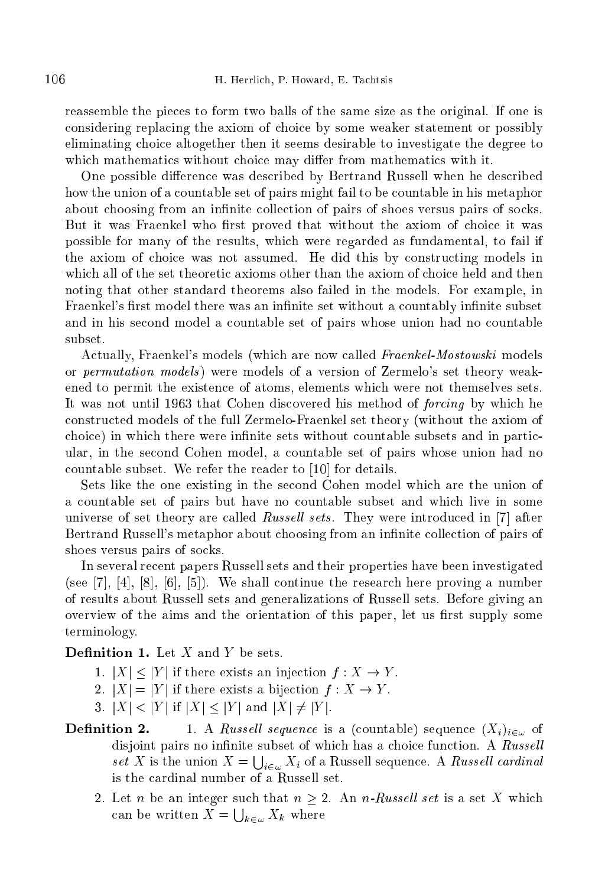reassemble the pie
es to form two balls of the same size as the original. If one is onsidering repla
ing the axiom of hoi
e by some weaker statement or possibly eliminating hoi
e altogether then it seems desirable to investigate the degree to which mathematics without choice may differ from mathematics with it.

One possible difference was described by Bertrand Russell when he described how the union of a countable set of pairs might fail to be countable in his metaphor about choosing from an infinite collection of pairs of shoes versus pairs of socks. But it was Fraenkel who first proved that without the axiom of choice it was possible for many of the results, whi
h were regarded as fundamental, to fail if the axiom of hoi
e was not assumed. He did this by onstru
ting models in which all of the set theoretic axioms other than the axiom of choice held and then noting that other standard theorems also failed in the models. For example, in Fraenkel's first model there was an infinite set without a countably infinite subset and in his second model a countable set of pairs whose union had no countable subset.

Actually, Fraenkel's models (which are now called Fraenkel-Mostowski models or permutation models ) were models of a version of Zermelo's set theory weakened to permit the existen
e of atoms, elements whi
h were not themselves sets. It was not until 1963 that Cohen discovered his method of *forcing* by which he onstru
ted models of the full Zermelo-Fraenkel set theory (without the axiom of choice) in which there were infinite sets without countable subsets and in particular, in the se
ond Cohen model, a ountable set of pairs whose union had no countable subset. We refer the reader to [10] for details.

Sets like the one existing in the se
ond Cohen model whi
h are the union of a ountable set of pairs but have no ountable subset and whi
h live in some universe of set theory are called Russell sets. They were introduced in  $[7]$  after Bertrand Russell's metaphor about choosing from an infinite collection of pairs of shoes versus pairs of socks.

In several re
ent papers Russell sets and their properties have been investigated  $($ see  $[7], [4], [8], [6], [5]$ . We shall continue the research here proving a number of results about Russell sets and generalizations of Russell sets. Before giving an overview of the aims and the orientation of this paper, let us first supply some terminology.

**Definition 1.** Let  $X$  and  $Y$  be sets.

- 1.  $|X| < |Y|$  if there exists an injection  $f : X \to Y$ .
- 2.  $|X| = |Y|$  if there exists a bijection  $f : X \to Y$ .
- 3.  $|X| < |Y|$  if  $|X| \leq |Y|$  and  $|X| \neq |Y|$ .
- 1. A Russell sequence is a (countable) sequence  $(X_i)_{i\in\omega}$  of Definition 2. disjoint pairs no infinite subset of which has a choice function. A  $\it Russell$ set X is the union  $X = \bigcup_{i \in \omega} X_i$  of a Russell sequence. A Russell cardinal is the ardinal number of a Russell set.
	- 2. Let *n* be an integer such that  $n \geq 2$ . An *n*-Russell set is a set X which can be written  $X = \bigcup_{k \in \omega} X_k$  where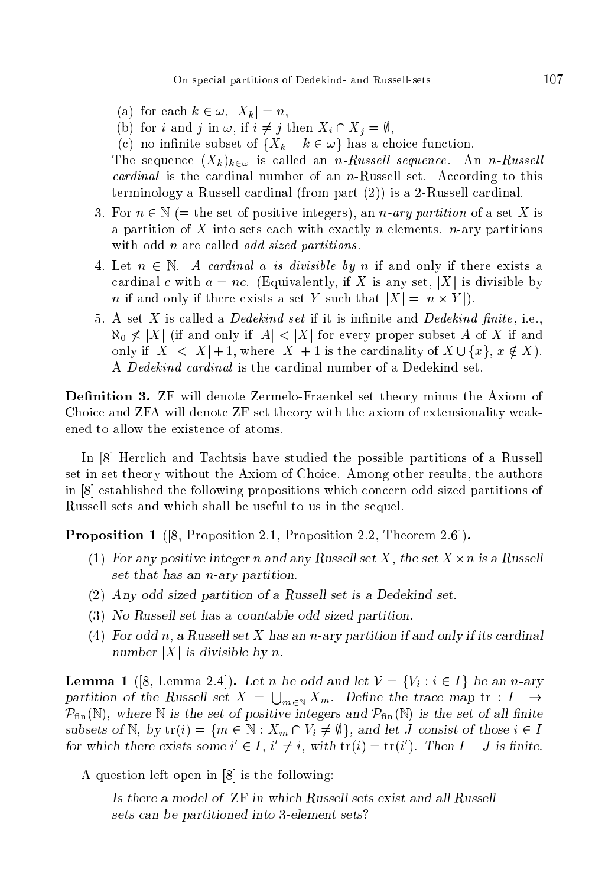On spe
ial partitions of Dedekind- and Russell-sets 107

- (a) for each  $k \in \omega, |X_k| = n$ ,
- (b) for i and j in  $\omega$ , if  $i \neq j$  then  $X_i \cap X_j = \emptyset$ ,
- (c) no infinite subset of  $\{X_k \mid k \in \omega\}$  has a choice function.

The sequence  $(X_k)_{k \in \omega}$  is called an *n-Russell sequence*. An *n-Russell* cardinal is the cardinal number of an  $n$ -Russell set. According to this terminology a Russell cardinal (from part  $(2)$ ) is a 2-Russell cardinal.

- 3. For  $n \in \mathbb{N}$  (= the set of positive integers), an *n*-ary partition of a set X is a partition of X into sets each with exactly n elements.  $n$ -ary partitions with odd *n* are called *odd sized partitions*.
- 4. Let  $n \in \mathbb{N}$ . A cardinal a is divisible by n if and only if there exists a cardinal c with  $a = nc$ . (Equivalently, if X is any set, |X| is divisible by n if and only if there exists a set Y substitution in the set Y substitution in the set Y substitution in the
- 5. A set  $X$  is called a *Dedekind set* if it is infinite and *Dedekind finite*, i.e.,  $\aleph_0 \not\leq |X|$  (if and only if  $|A| < |X|$  for every proper subset A of X if and only if  $|X| < |X| + 1$ , where  $|X| + 1$  is the cardinality of  $X \cup \{x\}$ ,  $x \notin X$ ). A Dedekind ardinal is the ardinal number of a Dedekind set.

**Definition 3.** ZF will denote Zermelo-Fraenkel set theory minus the Axiom of Choi
e and ZFA will denote ZF set theory with the axiom of extensionality weakened to allow the existence of atoms.

In [8] Herrlich and Tachtsis have studied the possible partitions of a Russell set in set theory without the Axiom of Choi
e. Among other results, the authors in  $[8]$  established the following propositions which concern odd sized partitions of Russell sets and whi
h shall be useful to us in the sequel.

**Proposition 1** ([8, Proposition 2.1, Proposition 2.2, Theorem 2.6]).

- (1) For any positive integer <sup>n</sup> and any Russell set X, the set <sup>X</sup> -n is a Russell set that has an n-ary partition.
- (2) Any odd sized partition of a Russell set is a Dedekind set.
- (3) No Russell set has a ountable odd sized partition.
- (4) For odd n, a Russell set X has an n-ary partition if and only if its cardinal number  $|X|$  is divisible by n.

**Lemma 1** ([8, Lemma 2.4]). Let n be odd and let  $\mathcal{V} = \{V_i : i \in I\}$  be an n-ary partition of the Russell set  $X = \bigcup_{m \in \mathbb{N}} X_m$ . Define the trace map  $tr : I \longrightarrow$  $\mathcal{P}_{fin}(\mathbb{N})$ , where  $\mathbb N$  is the set of positive integers and  $\mathcal{P}_{fin}(\mathbb N)$  is the set of all finite subsets of N, by  $\text{tr}(i) = \{m \in \mathbb{N} : X_m \cap V_i \neq \emptyset\}$ , and let J consist of those  $i \in I$ for which there exists some  $i \in I$ ,  $i \neq i$ , with  $tr(i) = tr(i)$ . Then  $I - J$  is finite.

A question left open in  $[8]$  is the following:

Is there a model of ZF in whi
h Russell sets exist and all Russell sets an be partitioned into 3-element sets?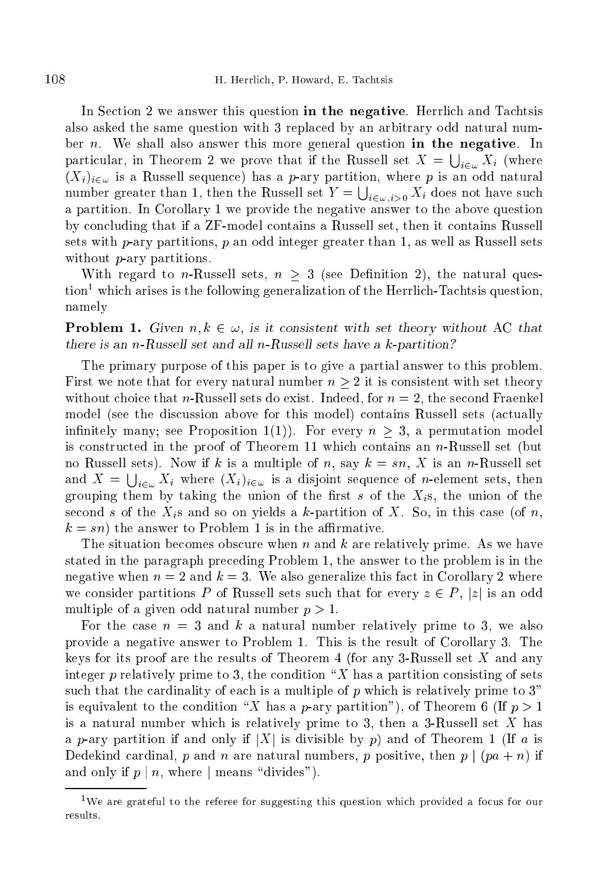In Section 2 we answer this question in the negative. Herrlich and Tachtsis also asked the same question with 3 repla
ed by an arbitrary odd natural number *n*. We shall also answer this more general question in the negative. In particular, in Theorem 2 we prove that if the Russell set  $X = \bigcup_{i \in \omega} X_i$  (where  $(X_i)_{i\in\omega}$  is a Russell sequence) has a *p*-ary partition, where *p* is an odd natural number greater than 1, then the Russell set  $Y = \bigcup_{i \in \omega, i > 0} X_i$  does not have such a partition. In Corollary 1 we provide the negative answer to the above question by on
luding that if a ZF-model ontains a Russell set, then it ontains Russell sets with  $p$ -ary partitions,  $p$  an odd integer greater than 1, as well as Russell sets without *p*-ary partitions.

With regard to *n*-Russell sets,  $n \geq 3$  (see Definition 2), the natural question which arises is the following generalization of the Herrlich-Tachtsis question, namely

**Problem 1.** Given  $n, k \in \omega$ , is it consistent with set theory without AC that there is an *n*-Russell set and all *n*-Russell sets have a  $k$ -partition?

The primary purpose of this paper is to give a partial answer to this problem. First we note that for every natural number  $n > 2$  it is consistent with set theory without choice that *n*-Russell sets do exist. Indeed, for  $n = 2$ , the second Fraenkel model (see the discussion above for this model) contains Russell sets (actually infinitely many; see Proposition 1(1)). For every  $n > 3$ , a permutation model is onstru
ted in the proof of Theorem 11 whi
h ontains an n-Russell set (but no Russell sets). Now if k is a multiple of n, say  $k = sn$ , X is an n-Russell set and  $X = \bigcup_{i \in \omega} X_i$  where  $(X_i)_{i \in \omega}$  is a disjoint sequence of *n*-element sets, then grouping them by taking the union of the first s of the  $X_i$ s, the union of the second s of the  $X_i$ s and so on yields a k-partition of X. So, in this case (of n,  $k = sn$ ) the answer to Problem 1 is in the affirmative.

The situation becomes obscure when n and k are relatively prime. As we have stated in the paragraph pre
eding Problem 1, the answer to the problem is in the negative when  $n = 2$  and  $k = 3$ . We also generalize this fact in Corollary 2 where we consider partitions P of Russell sets such that for every  $z \in P$ , |z| is an odd multiple of a given odd natural number  $p > 1$ .

For the case  $n = 3$  and k a natural number relatively prime to 3, we also provide a negative answer to Problem 1. This is the result of Corollary 3. The keys for its proof are the results of Theorem 4 (for any 3-Russell set  $X$  and any integer  $p$  relatively prime to 3, the condition "X has a partition consisting of sets such that the cardinality of each is a multiple of  $p$  which is relatively prime to 3" is equivalent to the condition "X has a p-ary partition"), of Theorem 6 (If  $p > 1$ is a natural number which is relatively prime to 3, then a 3-Russell set  $X$  has a p-ary partition if and only if  $|X|$  is divisible by p) and of Theorem 1 (If a is Dedekind cardinal, p and n are natural numbers, p positive, then  $p \mid (pa + n)$  if and only if  $p \mid n$ , where  $|$  means "divides").

<sup>&</sup>lt;sup>1</sup>We are grateful to the referee for suggesting this question which provided a focus for our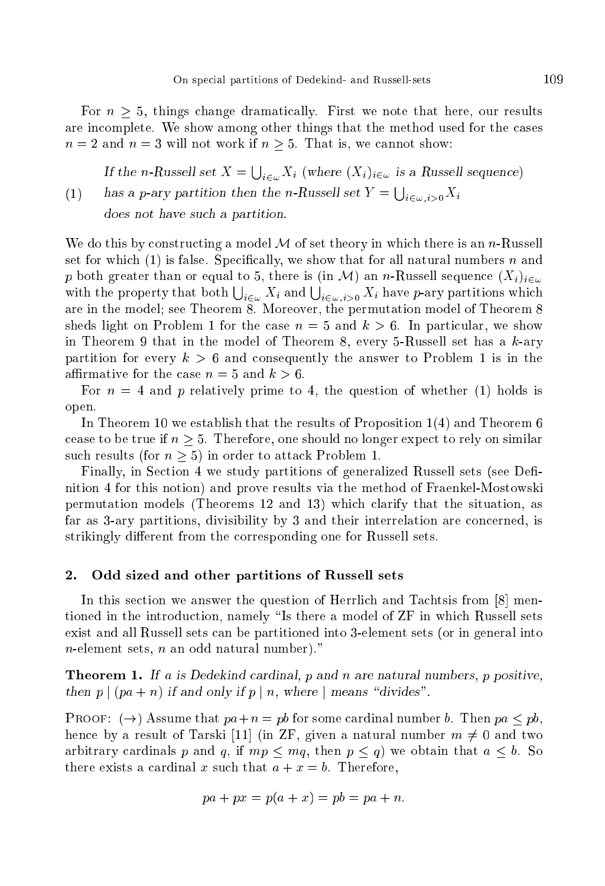For  $n \geq 5$ , things change dramatically. First we note that here, our results are in
omplete. We show among other things that the method used for the ases  $n = 2$  and  $n = 3$  will not work if  $n > 5$ . That is, we cannot show:

(1) If the n-Russell set  $X = \bigcup_{i \in \omega} X_i$  (where  $(X_i)_{i \in \omega}$  is a Russell sequence) has a p-ary partition then the n-Russell set  $Y = \bigcup_{i \in \omega, i > 0} X_i$ does not have such a partition.

We do this by constructing a model  $\mathcal M$  of set theory in which there is an n-Russell set for which  $(1)$  is false. Specifically, we show that for all natural numbers n and p both greater than or equal to 5, there is (in M) an n-Russell sequence  $(X_i)_{i\in\omega}$ with the property that both  $\bigcup_{i\in\omega} X_i$  and  $\bigcup_{i\in\omega, i>0} X_i$  have p-ary partitions which are in the model; see Theorem 8. Moreover, the permutation model of Theorem 8 sheds light on Problem 1 for the case  $n = 5$  and  $k > 6$ . In particular, we show in Theorem 9 that in the model of Theorem 8, every 5-Russell set has a  $k$ -ary partition for every  $k > 6$  and consequently the answer to Problem 1 is in the affirmative for the case  $n = 5$  and  $k > 6$ .

For  $n = 4$  and p relatively prime to 4, the question of whether (1) holds is open.

In Theorem 10 we establish that the results of Proposition 1(4) and Theorem 6 cease to be true if  $n > 5$ . Therefore, one should no longer expect to rely on similar such results (for  $n > 5$ ) in order to attack Problem 1.

Finally, in Section 4 we study partitions of generalized Russell sets (see Definition 4 for this notion) and prove results via the method of Fraenkel-Mostowski permutation models (Theorems 12 and 13) whi
h larify that the situation, as far as 3-ary partitions, divisibility by 3 and their interrelation are on
erned, is strikingly different from the corresponding one for Russell sets.

#### 2. Odd sized and other partitions of Russell sets

In this section we answer the question of Herrlich and Tachtsis from  $[8]$  mentioned in the introduction, namely "Is there a model of ZF in which Russell sets exist and all Russell sets an be partitioned into 3-element sets (or in general into  $n$ -element sets,  $n$  an odd natural number)."

**Theorem 1.** If a is Dedekind cardinal, p and n are natural numbers, p positive, then  $p \mid (pa + n)$  if and only if  $p \mid n$ , where  $\mid$  means "divides".

**PROOF:**  $(\rightarrow)$  Assume that  $pa+n = pb$  for some cardinal number b. Then  $pa < pb$ , hence by a result of Tarski [11] (in ZF, given a natural number  $m \neq 0$  and two arbitrary cardinals p and q, if  $mp \leq mq$ , then  $p \leq q$ ) we obtain that  $a \leq b$ . So there exists a cardinal x such that  $a + x = b$ . Therefore,

$$
pa + px = p(a + x) = pb = pa + n.
$$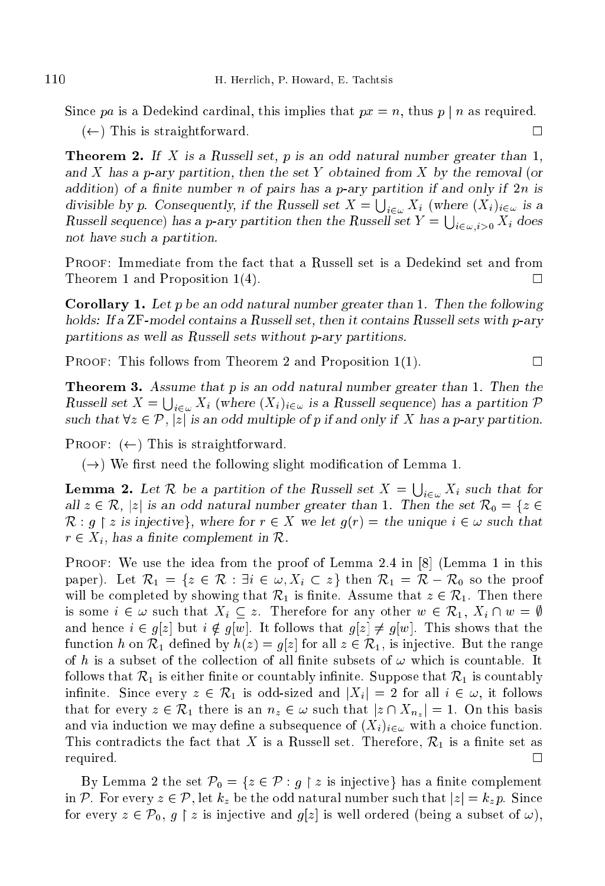Since pa is a Dedekind cardinal, this implies that  $px = n$ , thus p | n as required.  $(\leftarrow)$  This is straightforward.  $\Box$ 

**Theorem 2.** If X is a Russell set, p is an odd natural number greater than  $1$ , and  $X$  has a p-ary partition, then the set Y obtained from  $X$  by the removal (or addition) of a finite number n of pairs has a p-ary partition if and only if  $2n$  is divisible by p. Consequently, if the Russell set  $X = \bigcup_{i \in \omega} X_i$  (where  $(X_i)_{i \in \omega}$  is a Russell sequence) has a p-ary partition then the Russell set  $Y = \bigcup_{i \in \omega, i > 0} X_i$  does not have su
h a partition.

PROOF: Immediate from the fact that a Russell set is a Dedekind set and from Theorem 1 and Proposition 1(4).  $\Box$ 

**Corollary 1.** Let p be an odd natural number greater than 1. Then the following holds: If a ZF-model contains a Russell set, then it contains Russell sets with p-ary partitions as well as Russell sets without p-ary partitions.

PROOF: This follows from Theorem 2 and Proposition 1(1).  $\Box$ 

**Theorem 3.** Assume that p is an odd natural number greater than 1. Then the Russell set  $X = \bigcup_{i \in \omega} X_i$  (where  $(X_i)_{i \in \omega}$  is a Russell sequence) has a partition  $\mathcal P$ such that  $\forall z \in \mathcal{P}, |z|$  is an odd multiple of p if and only if X has a p-ary partition.

PROOF:  $(\leftarrow)$  This is straightforward.

 $(\rightarrow)$  We first need the following slight modification of Lemma 1.

**Lemma 2.** Let R be a partition of the Russell set  $X = \bigcup_{i \in \omega} X_i$  such that for all  $z \in \mathcal{R}$ , |z| is an odd natural number greater than 1. Then the set  $\mathcal{R}_0 = \{z \in \mathcal{R} \mid |z| \leq 2\}$  $\mathcal{R}: g \restriction z$  is injective, where for  $r \in X$  we let  $g(r) =$  the unique  $i \in \omega$  such that  $r \in X_i$ , has a finite complement in  $\mathcal{R}$ .

PROOF: We use the idea from the proof of Lemma 2.4 in  $[8]$  (Lemma 1 in this paper). Let  $\mathcal{R}_1 = \{z \in \mathcal{R} : \exists i \in \omega, X_i \subset z\}$  then  $\mathcal{R}_1 = \mathcal{R} - \mathcal{R}_0$  so the proof will be completed by showing that  $\mathcal{R}_1$  is finite. Assume that  $z \in \mathcal{R}_1$ . Then there is some  $i \in \omega$  such that  $X_i \subseteq z$ . Therefore for any other  $w \in \mathcal{R}_1$ ,  $X_i \cap w = \emptyset$ and hence  $i \in g[z]$  but  $i \notin g[w]$ . It follows that  $g[z] \neq g[w]$ . This shows that the function h on  $\mathcal{R}_1$  defined by  $h(z) = g[z]$  for all  $z \in \mathcal{R}_1$ , is injective. But the range of h is a subset of the collection of all finite subsets of  $\omega$  which is countable. It follows that  $\mathcal{R}_1$  is either finite or countably infinite. Suppose that  $\mathcal{R}_1$  is countably infinite. Since every  $z \in \mathcal{R}_1$  is odd-sized and  $|X_i| = 2$  for all  $i \in \omega$ , it follows that for every  $z \in \mathcal{R}_1$  there is an  $n_z \in \omega$  such that  $|z \cap X_{n_z}| = 1$ . On this basis and via induction we may define a subsequence of  $(X_i)_{i \in \omega}$  with a choice function. This contradicts the fact that X is a Russell set. Therefore,  $\mathcal{R}_1$  is a finite set as  $\Box$ required.

By Lemma 2 the set  $\mathcal{P}_0 = \{z \in \mathcal{P} : g \restriction z \text{ is injective}\}\$  has a finite complement in P. For every  $z \in \mathcal{P}$ , let  $k_z$  be the odd natural number such that  $|z| = k_z p$ . Since for every  $z \in \mathcal{P}_0$ ,  $g \restriction z$  is injective and  $g[z]$  is well ordered (being a subset of  $\omega$ ),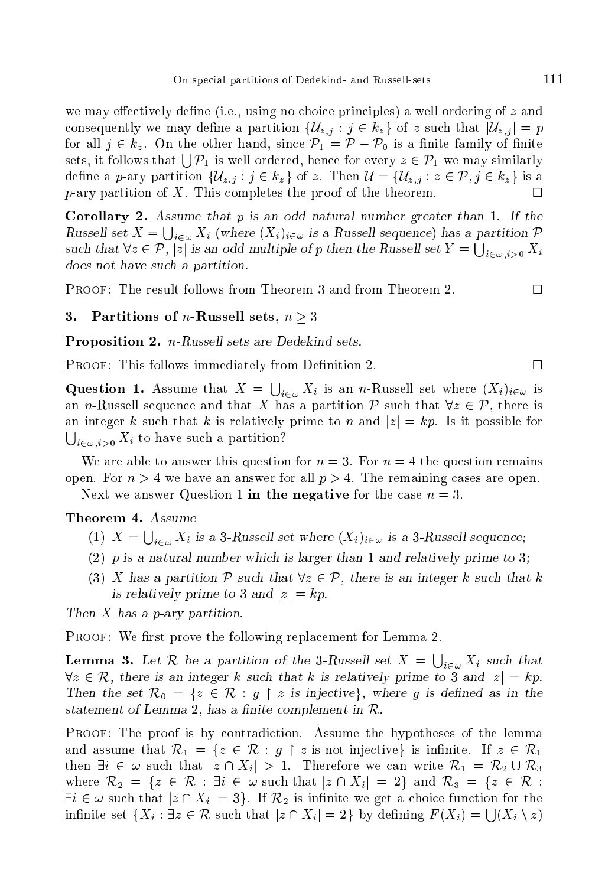we may effectively define (i.e., using no choice principles) a well ordering of  $z$  and consequently we may define a partition  $\{U_{z,i} : j \in k_z\}$  of z such that  $|U_{z,i}| = p$ for all  $j \in k_z$ . On the other hand, since  $\mathcal{P}_1 = \mathcal{P} - \mathcal{P}_0$  is a finite family of finite sets, it follows that  $\bigcup_{i=1}^{\infty} P_1$  is well ordered, hence for every  $z \in \mathcal{P}_1$  we may similarly define a p-ary partition  $\{U_{z,i} : j \in k_z\}$  of z. Then  $\mathcal{U} = \{U_{z,i} : z \in \mathcal{P}, j \in k_z\}$  is a  $p$ -ary partition of X. This completes the proof of the theorem.  $\Box$ 

Corollary 2. Assume that p is an odd natural number greater than 1. If the Russell set  $X = \bigcup_{i \in \omega} X_i$  (where  $(X_i)_{i \in \omega}$  is a Russell sequence) has a partition  $\mathcal P$ such that  $\forall z \in \mathcal{P}, |z|$  is an odd multiple of p then the Russell set  $Y = \bigcup_{i \in \omega, i > 0} X_i$ does not have such a partition.

PROOF: The result follows from Theorem 3 and from Theorem 2.

## 3. Partitions of *n*-Russell sets,  $n > 3$

Proposition 2. n-Russell sets are Dedekind sets.

PROOF: This follows immediately from Definition 2.

**Question 1.** Assume that  $X = \bigcup_{i \in \omega} X_i$  is an *n*-Russell set where  $(X_i)_{i \in \omega}$  is an *n*-Russell sequence and that X has a partition P such that  $\forall z \in \mathcal{P}$ , there is an integer k such that k is relatively prime to n and  $|z| = kp$ . Is it possible for  $\bigcup_{i \in \omega, i > 0} X_i$  to have such a partition?

We are able to answer this question for  $n = 3$ . For  $n = 4$  the question remains open. For  $n > 4$  we have an answer for all  $p > 4$ . The remaining cases are open. Next we answer Question 1 in the negative for the case  $n = 3$ .

### Theorem 4. Assume

- (1)  $X = \bigcup_{i \in \omega} X_i$  is a 3-Russell set where  $(X_i)_{i \in \omega}$  is a 3-Russell sequence;
- (2)  $p$  is a natural number which is larger than 1 and relatively prime to 3;
- (3) X has a partition  $P$  such that  $\forall z \in P$ , there is an integer k such that k is relatively prime to 3 and  $|z| = kp$ .

Then X has a p-ary partition.

PROOF: We first prove the following replacement for Lemma 2.

**Lemma 3.** Let R be a partition of the 3-Russell set  $X = \bigcup_{i \in \omega} X_i$  such that  $\forall z \in \mathcal{R}$ , there is an integer k such that k is relatively prime to 3 and  $|z| = kp$ . Then the set  $\mathcal{R}_0 = \{z \in \mathcal{R} : g \restriction z \text{ is injective}\},\$  where g is defined as in the statement of Lemma 2, has a finite complement in  $\mathcal{R}$ .

PROOF: The proof is by contradiction. Assume the hypotheses of the lemma and assume that  $\mathcal{R}_1 = \{z \in \mathcal{R} : g \restriction z \text{ is not injective}\}$  is infinite. If  $z \in \mathcal{R}_1$ then  $\exists i \in \omega$  such that  $|z \cap X_i| > 1$ . Therefore we can write  $\mathcal{R}_1 = \mathcal{R}_2 \cup \mathcal{R}_3$ where  $\mathcal{R}_2 = \{z \in \mathcal{R} : \exists i \in \omega \text{ such that } |z \cap X_i| = 2\}$  and  $\mathcal{R}_3 = \{z \in \mathcal{R} : \exists i \in \omega \text{ such that } |z| \in \mathcal{R} \}$  $\exists i \in \omega$  such that  $|z \cap X_i| = 3$ . If  $\mathcal{R}_2$  is infinite we get a choice function for the infinite set  $\{X_i : \exists z \in \mathcal{R} \text{ such that } |z \cap X_i| = 2\}$  by defining  $F(X_i) = \bigcup (X_i \setminus z)$ 

 $\Box$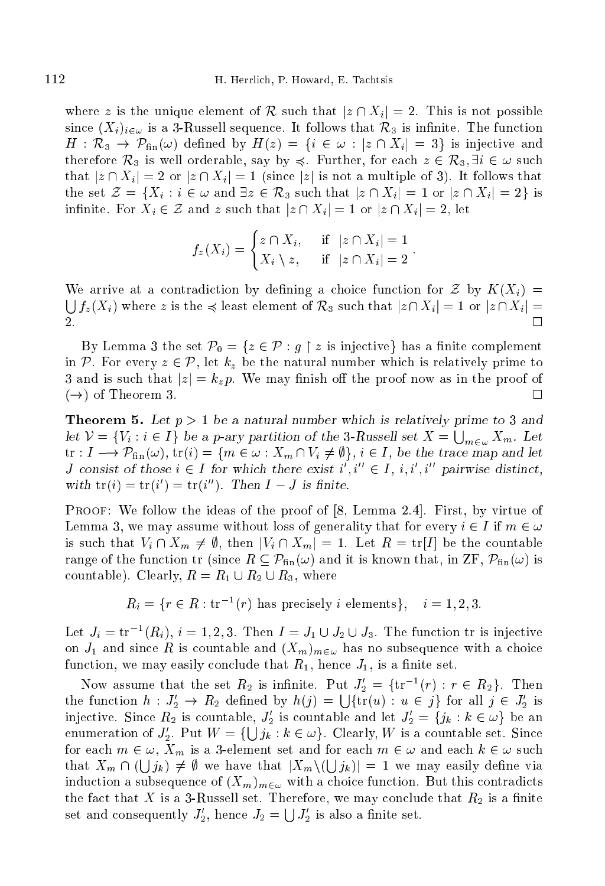where z is the unique element of R such that  $|z \cap X_i| = 2$ . This is not possible since  $(X_i)_{i \in \omega}$  is a 3-Russell sequence. It follows that  $\mathcal{R}_3$  is infinite. The function  $H: \mathcal{R}_3 \to \mathcal{P}_{\text{fin}}(\omega)$  defined by  $H(z) = \{i \in \omega : |z \cap X_i| = 3\}$  is injective and therefore  $\mathcal{R}_3$  is well orderable, say by  $\preccurlyeq$ . Further, for each  $z \in \mathcal{R}_3, \exists i \in \omega$  such that  $|z \cap X_i| = 2$  or  $|z \cap X_i| = 1$  (since  $|z|$  is not a multiple of 3). It follows that the set  $\mathcal{Z} = \{X_i : i \in \omega \text{ and } \exists z \in \mathcal{R}_3 \text{ such that } |z \cap X_i| = 1 \text{ or } |z \cap X_i| = 2\}$  is infinite. For  $X_i \in \mathcal{Z}$  and z such that  $|z \cap X_i| = 1$  or  $|z \cap X_i| = 2$ , let

$$
f_z(X_i) = \begin{cases} z \cap X_i, & \text{if } |z \cap X_i| = 1 \\ X_i \setminus z, & \text{if } |z \cap X_i| = 2 \end{cases}
$$

 $\overline{\phantom{a}}$ 

We arrive at a contradiction by defining a choice function for  $\mathcal Z$  by  $K(X_i) =$  $\int_{\mathcal{L}} |f_z(X_i)|$  where z is the  $\preccurlyeq$  least element of  $\mathcal{R}_3$  such that  $|z \cap X_i| = 1$  or  $|z \cap X_i| =$ П 2.

By Lemma 3 the set  $\mathcal{P}_0 = \{z \in \mathcal{P} : g \restriction z \text{ is injective}\}\$  has a finite complement in P. For every  $z \in \mathcal{P}$ , let  $k_z$  be the natural number which is relatively prime to 3 and is such that  $|z|=k_z p$ . We may finish off the proof now as in the proof of  $(\rightarrow)$  of Theorem 3.

**Theorem 5.** Let  $p > 1$  be a natural number which is relatively prime to 3 and let  $V = \{V_i : i \in I\}$  be a p-ary partition of the 3-Russell set  $X = \bigcup_{m \in \omega} X_m$ . Let  $\text{tr}: I \longrightarrow \mathcal{P}_{\text{fin}}(\omega), \text{tr}(i) = \{m \in \omega : X_m \cap V_i \neq \emptyset\}, i \in I, \text{ be the trace map and let }$ J consist of those  $i \in I$  for which there exist  $i, i \in I, i, i, i$ , pairwise distinct. with  $tr(i) = tr(i) = tr(i)$ . Then  $I - J$  is finite.

PROOF: We follow the ideas of the proof of [8, Lemma 2.4]. First, by virtue of Lemma 3, we may assume without loss of generality that for every  $i \in I$  if  $m \in \omega$ is such that  $V_i \cap X_m \neq \emptyset$ , then  $|V_i \cap X_m| = 1$ . Let  $R = \text{tr}[I]$  be the countable range of the function tr (since  $R \subseteq \mathcal{P}_{fin}(\omega)$  and it is known that, in ZF,  $\mathcal{P}_{fin}(\omega)$  is countable). Clearly,  $R = R_1 \cup R_2 \cup R_3$ , where

 $R_i = \{r \in R : \text{tr}^{-1}(r) \text{ has precisely } i \text{ elements}\}, i = 1, 2, 3.$ 

Let  $J_i = \text{tr}^{-1}(R_i), i = 1, 2, 3$ . Then  $I = J_1 \cup J_2 \cup J_3$ . The function of is injective on  $J_1$  and since R is countable and  $(X_m)_{m\in\omega}$  has no subsequence with a choice function, we may easily conclude that  $R_1$ , hence  $J_1$ , is a finite set.

Now assume that the set  $R_2$  is infinite. Put  $J_2 = \{$ tr  $^-(r) : r \in R_2\}$ . Then the function  $h: J'_2 \to R_2$  defined by  $h(j) = \bigcup \{ \text{tr}(u) : u \in j \}$  for all  $j \in J'_2$  is injective. Since  $\kappa_2$  is countable,  $J_2$  is countable and let  $J_2 = \{j_k : \kappa \in \omega\}$  be an enumeration of  $J'_2$ . Put  $W = \{\bigcup j_k : k \in \omega\}$ . Clearly, W is a countable set. Since for each  $m \in \omega$ ,  $X_m$  is a 3-element set and for each  $m \in \omega$  and each  $k \in \omega$  such that  $X_m \cap (\bigcup j_k) \neq \emptyset$  we have that  $|X_m \setminus (\bigcup j_k)| = 1$  we may easily define via induction a subsequence of  $(X_m)_{m\in\omega}$  with a choice function. But this contradicts the fact that  $X$  is a 3-Russell set. Therefore, we may conclude that  $R_2$  is a finite set and consequently  $J_2'$ , hence  $J_2 = \bigcup J_2'$  is also a finite set.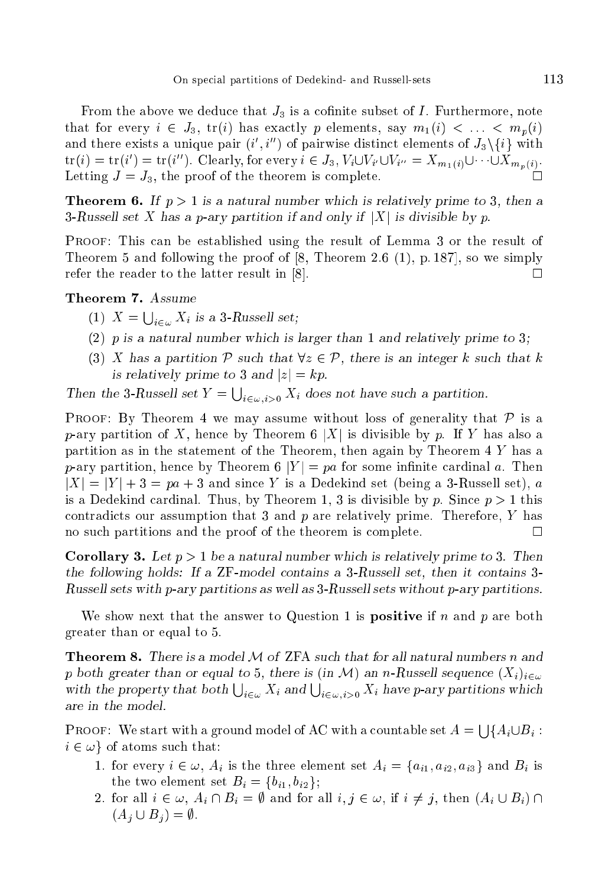From the above we deduce that  $J_3$  is a cofinite subset of I. Furthermore, note that for every  $i \in J_3$ ,  $\text{tr}(i)$  has exactly p elements, say  $m_1(i) < \ldots < m_n(i)$ and there exists a unique pair  $(i, i)$  of pairwise distinct elements of  $J_3\$   $\{i\}$  with  $\det(v) = \det(v) = \det(v)$ . Clearly, for every  $i \in J_3$ ,  $V_i \cup V_{i'} \cup V_{i''} = \Lambda_{m_1(i)} \cup \cdots \cup \Lambda_{m_p(i)}$ . Letting  $J = J_3$ , the proof of the theorem is complete.

**Theorem 6.** If  $p > 1$  is a natural number which is relatively prime to 3, then a 3-Russell set X has a p-ary partition if and only if  $|X|$  is divisible by p.

Proof: This an be established using the result of Lemma 3 or the result of Theorem 5 and following the proof of  $[8,$  Theorem 2.6  $(1),$  p. 187, so we simply refer the reader to the latter result in [8].  $\Box$ 

# Theorem 7. Assume

- (1)  $X = \bigcup_{i \in \omega} X_i$  is a 3-Russell set;
- (2)  $p$  is a natural number which is larger than 1 and relatively prime to 3;
- (3) X has a partition P such that  $\forall z \in \mathcal{P}$ , there is an integer k such that k is relatively prime to 3 and  $|z| = kp$ .

Then the 3-Russell set  $Y = \bigcup_{i \in \omega} X_i$  does not have such a partition.

**PROOF:** By Theorem 4 we may assume without loss of generality that  $P$  is a p-ary partition of X, hence by Theorem 6 |X| is divisible by p. If Y has also a partition as in the statement of the Theorem, then again by Theorem 4 Y has a  $p$ -ary partition, hence by Theorem 6 |Y| = pa for some infinite cardinal a. Then  $|X| = |Y| + 3 = pa + 3$  and since Y is a Dedekind set (being a 3-Russell set), a is a Dedekind cardinal. Thus, by Theorem 1, 3 is divisible by p. Since  $p > 1$  this contradicts our assumption that 3 and  $p$  are relatively prime. Therefore,  $Y$  has no such partitions and the proof of the theorem is complete.

**Corollary 3.** Let  $p > 1$  be a natural number which is relatively prime to 3. Then the following holds: If a ZF-model ontains a 3-Russell set, then it ontains 3- Russell sets with p-ary partitions as well as 3-Russell sets without p-ary partitions.

We show next that the answer to Question 1 is **positive** if n and p are both greater than or equal to 5.

**Theorem 8.** There is a model  $M$  of ZFA such that for all natural numbers n and p both greater than or equal to 5, there is (in M) an n-Russell sequence  $(X_i)_{i\in\omega}$ with the property that both  $\bigcup_{i\in\omega} X_i$  and  $\bigcup_{i\in\omega,i>0} X_i$  have p-ary partitions which are in the model.

**PROOF:** We start with a ground model of AC with a countable set  $A = \iint_A A_i \cup B_i$ :  $i \in \omega$  of atoms such that:

- 1. for every  $i \in \omega$ ,  $A_i$  is the three element set  $A_i = \{a_{i1}, a_{i2}, a_{i3}\}\$  and  $B_i$  is the two element set  $B_i = \{b_{i1}, b_{i2}\};$
- 2. for all  $i \in \omega$ ,  $A_i \cap B_i = \emptyset$  and for all  $i, j \in \omega$ , if  $i \neq j$ , then  $(A_i \cup B_i) \cap$  $(A_i \cup B_j) = \emptyset.$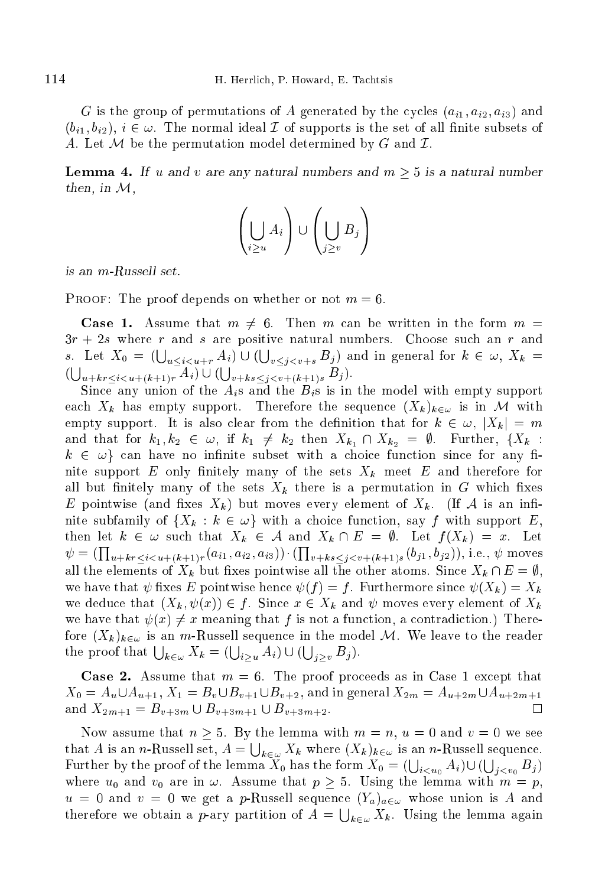G is the group of permutations of A generated by the cycles  $(a_{i1}, a_{i2}, a_{i3})$  and  $(b_{i1}, b_{i2}), i \in \omega$ . The normal ideal  $\mathcal I$  of supports is the set of all finite subsets of A. Let M be the permutation model determined by G and  $\mathcal I$ .

**Lemma 4.** If u and v are any natural numbers and  $m > 5$  is a natural number then, in  $\mathcal{M}$ ,

$$
\left(\bigcup_{i\geq u} A_i\right) \cup \left(\bigcup_{j\geq v} B_j\right)
$$

is an m-Russell set.

PROOF: The proof depends on whether or not  $m = 6$ .

**Case 1.** Assume that  $m \neq 6$ . Then m can be written in the form  $m =$  $3r + 2s$  where r and s are positive natural numbers. Choose such an r and s. Let  $X_0 = (\bigcup_{u \le i \le u+r} A_i) \cup (\bigcup_{v \le i \le v+s} B_i)$  and in general for  $k \in \omega, X_k =$  $(\bigcup_{u+k}$ <sub>r</sub> $\leq i \leq u+(k+1)r$   $A_i)$   $\cup$   $(\bigcup_{v+k}$ <sub>s</sub> $\leq i \leq v+(k+1)s$   $B_j)$ .

Since any union of the  $A_i$ s and the  $B_i$ s is in the model with empty support each  $X_k$  has empty support. Therefore the sequence  $(X_k)_{k\in\omega}$  is in M with empty support. It is also clear from the definition that for  $k \in \omega, |X_k| = m$ and that for  $k_1, k_2 \in \omega$ , if  $k_1 \neq k_2$  then  $X_{k_1} \cap X_{k_2} = \emptyset$ . Further,  $\{X_k :$  $k \in \omega$  can have no infinite subset with a choice function since for any finite support E only finitely many of the sets  $X_k$  meet E and therefore for all but finitely many of the sets  $X_k$  there is a permutation in G which fixes E pointwise (and fixes  $X_k$ ) but moves every element of  $X_k$ . (If A is an infinite subfamily of  $\{X_k : k \in \omega\}$  with a choice function, say f with support E, then let  $k \in \omega$  such that  $X_k \in \mathcal{A}$  and  $X_k \cap E = \emptyset$ . Let  $f(X_k) = x$ . Let  $\psi = (\Pi$  $u_{1+k} < i < u_{1+k+1}$ <sub>r</sub> $(a_{i1}, a_{i2}, a_{i3})) \cdot (\prod$  $v+\kappa s$   $\lt$   $\zeta$   $v+\kappa+1$   $s \vee J$   $\to$   $J$   $\to$   $J$ all the elements of  $X_k$  but fixes pointwise all the other atoms. Since  $X_k \cap E = \emptyset$ , we have that  $\psi$  fixes E pointwise hence  $\psi(f) = f$ . Furthermore since  $\psi(X_k) = X_k$ we deduce that  $(X_k, \psi(x)) \in f$ . Since  $x \in X_k$  and  $\psi$  moves every element of  $X_k$ we have that  $\psi(x) \neq x$  meaning that f is not a function, a contradiction.) Therefore  $(X_k)_{k \in \omega}$  is an m-Russell sequence in the model M. We leave to the reader the proof that  $\bigcup_{k \in \omega} X_k = (\bigcup_{i > u} A_i) \cup (\bigcup_{i > v} B_i).$ 

**Case 2.** Assume that  $m = 6$ . The proof proceeds as in Case 1 except that  $X_0 = A_u \cup A_{u+1}, X_1 = B_v \cup B_{v+1} \cup B_{v+2}$ , and in general  $X_{2m} = A_{u+2m} \cup A_{u+2m+1}$ and  $X_{2m+1} = B_{v+3m} \cup B_{v+3m+1} \cup B_{v+3m+2}$ .  $\Box$ 

Now assume that  $n \geq 5$ . By the lemma with  $m = n$ ,  $u = 0$  and  $v = 0$  we see that A is an n-Russell set,  $A = \bigcup_{k \in \omega} X_k$  where  $(X_k)_{k \in \omega}$  is an n-Russell sequence. Further by the proof of the lemma  $X_0$  has the form  $X_0 = (\bigcup_{i< u_0} A_i) \cup (\bigcup_{j< v_0} B_j)$ where  $u_0$  and  $v_0$  are in  $\omega$ . Assume that  $p \geq 5$ . Using the lemma with  $m = p$ ,  $u = 0$  and  $v = 0$  we get a p-Russell sequence  $(Y_a)_{a \in \omega}$  whose union is A and therefore we obtain a p-ary partition of  $A = \bigcup_{k \in \omega} X_k$ . Using the lemma again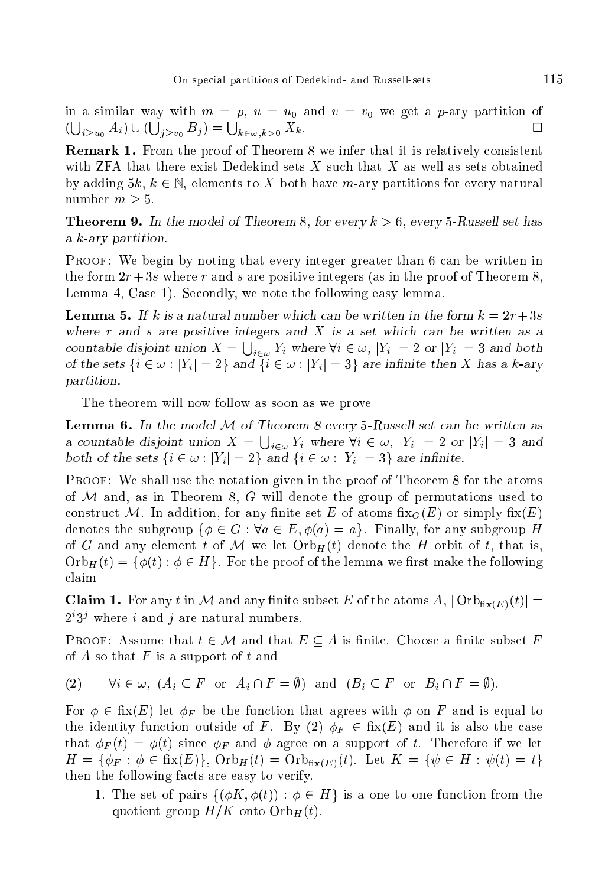in a similar way with  $m = p$ ,  $u = u_0$  and  $v = v_0$  we get a p-ary partition of  $(\bigcup_{i>u_0} A_i) \cup (\bigcup_{j>u_0} B_j) = \bigcup_{k \in \omega, k>0} X_k.$ 

**Remark 1.** From the proof of Theorem 8 we infer that it is relatively consistent with ZFA that there exist Dedekind sets  $X$  such that  $X$  as well as sets obtained by adding  $5k, k \in \mathbb{N}$ , elements to X both have m-ary partitions for every natural number  $m > 5$ .

**Theorem 9.** In the model of Theorem 8, for every  $k > 6$ , every 5-Russell set has a k-ary partition.

PROOF: We begin by noting that every integer greater than 6 can be written in the form  $2r+3s$  where r and s are positive integers (as in the proof of Theorem 8, Lemma 4, Case 1). Secondly, we note the following easy lemma.

**Lemma 5.** If k is a natural number which can be written in the form  $k = 2r + 3s$ where  $r$  and  $s$  are positive integers and  $X$  is a set which can be written as a countable disjoint union  $X = \bigcup_{i \in \omega} Y_i$  where  $\forall i \in \omega, |Y_i| = 2$  or  $|Y_i| = 3$  and both of the sets  $\{i \in \omega : |Y_i| = 2\}$  and  $\{i \in \omega : |Y_i| = 3\}$  are infinite then X has a k-ary partition.

The theorem will now follow as soon as we prove

**Lemma 6.** In the model  $M$  of Theorem 8 every 5-Russell set can be written as a countable disjoint union  $X = \bigcup_{i \in \omega} Y_i$  where  $\forall i \in \omega, |Y_i| = 2$  or  $|Y_i| = 3$  and both of the sets  $\{i \in \omega : |Y_i| = 2\}$  and  $\{i \in \omega : |Y_i| = 3\}$  are infinite.

Proof: We shall use the notation given in the proof of Theorem 8 for the atoms of  $M$  and, as in Theorem 8,  $G$  will denote the group of permutations used to construct M. In addition, for any finite set E of atoms  $fix_G(E)$  or simply  $fix(E)$ denotes the subgroup  $\{\phi \in G : \forall a \in E, \phi(a) = a\}$ . Finally, for any subgroup H of G and any element t of M we let  $Orb_H(t)$  denote the H orbit of t, that is,  $\mathrm{Orb}_{H}(t) = \{\phi(t): \phi \in H\}.$  For the proof of the lemma we first make the following laim

**Claim 1.** For any t in M and any finite subset E of the atoms  $A$ ,  $\text{Orb}_{\text{fix}(E)}(t)$  = 2 5° where *i* and *j* are natural numbers.

**PROOF:** Assume that  $t \in \mathcal{M}$  and that  $E \subseteq A$  is finite. Choose a finite subset F of A so that  $F$  is a support of  $t$  and

(2)  $\forall i \in \omega, (A_i \subset F \text{ or } A_i \cap F = \emptyset) \text{ and } (B_i \subset F \text{ or } B_i \cap F = \emptyset).$ 

For  $\phi \in \text{fix}(E)$  let  $\phi_F$  be the function that agrees with  $\phi$  on F and is equal to the identity function outside of F. By (2)  $\phi_F \in f\text{fix}(E)$  and it is also the case that  $\phi_F(t) = \phi(t)$  since  $\phi_F$  and  $\phi$  agree on a support of t. Therefore if we let  $H = \{\phi_F : \phi \in \text{fix}(E)\}, \text{Orb}_H(t) = \text{Orb}_{\text{fix}(E)}(t).$  Let  $K = \{\psi \in H : \psi(t) = t\}$ then the following facts are easy to verify.

1. The set of pairs  $\{\phi K, \phi(t) : \phi \in H\}$  is a one to one function from the quotient group  $H/K$  onto  $Orb_H(t)$ .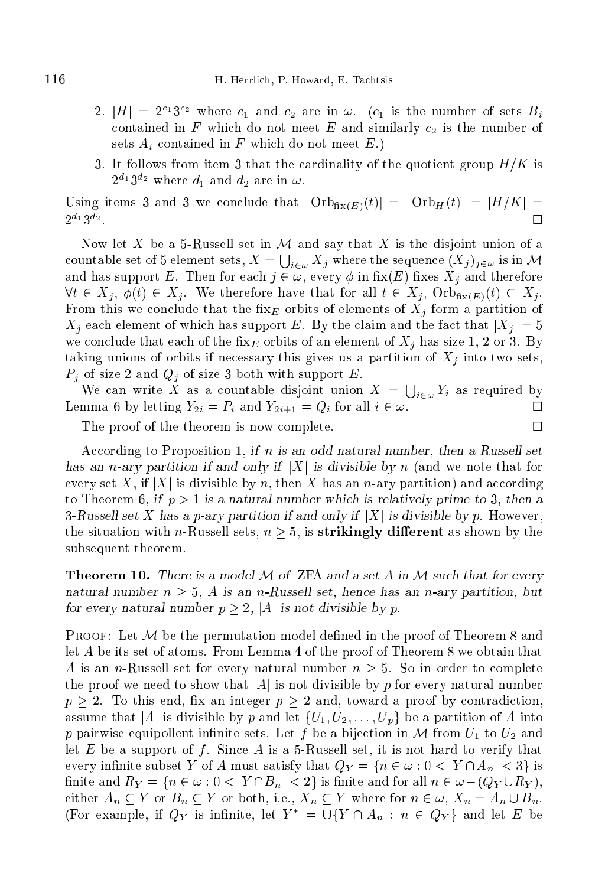- 2.  $|H| = 2^{12} \delta^{12}$  where  $c_1$  and  $c_2$  are in  $\omega$ .  $(c_1$  is the number of sets  $D_i$ contained in F which do not meet E and similarly  $c_2$  is the number of sets  $A_i$  contained in F which do not meet E.
- 3. It follows from item 3 that the cardinality of the quotient group  $H/K$  is  $2^{-1}3^{-2}$  where  $a_1$  and  $a_2$  are in  $\omega$ .

Using items 3 and 3 we conclude that  $|\text{Orb}_{\text{fix}(E)}(t)| = |\text{Orb}_H(t)| = |H/K|$  $\Box$ 2 <sup>-</sup> 0 <sup>-</sup>

Now let X be a 5-Russell set in  $\mathcal M$  and say that X is the disjoint union of a countable set of 5 element sets,  $X=\bigcup_{i\in\omega}X_j$  where the sequence  $(X_j)_{j\in\omega}$  is in  ${\mathcal M}$ and has support E. Then for each  $j \in \omega$ , every  $\phi$  in fix(E) fixes  $X_j$  and therefore  $\forall t \in X_j, \, \phi(t) \in X_j$ . We therefore have that for all  $t \in X_j$ ,  $\text{Orb}_{\text{fix}(E)}(t) \subset X_j$ . From this we conclude that the fix<sub>E</sub> orbits of elements of  $X_j$  form a partition of  $X_i$  each element of which has support E. By the claim and the fact that  $|X_i|=5$ we conclude that each of the fix<sub>E</sub> orbits of an element of  $X_i$  has size 1, 2 or 3. By taking unions of orbits if necessary this gives us a partition of  $X_i$  into two sets,  $P_j$  of size 2 and  $Q_j$  of size 3 both with support E.

We can write X as a countable disjoint union  $X = \bigcup_{i \in \omega} Y_i$  as required by Lemma 6 by letting  $Y_{2i} = P_i$  and  $Y_{2i+1} = Q_i$  for all  $i \in \omega$ .  $\Box$ 

The proof of the theorem is now complete.

According to Proposition 1, if n is an odd natural number, then a Russell set has an n-ary partition if and only if |X| is divisible by n (and we note that for every set X, if |X| is divisible by n, then X has an n-ary partition) and according to Theorem 6, if  $p > 1$  is a natural number which is relatively prime to 3, then a 3-Russell set X has a p-ary partition if and only if  $|X|$  is divisible by p. However, the situation with *n*-Russell sets,  $n \geq 5$ , is **strikingly different** as shown by the subsequent theorem.

**Theorem 10.** There is a model M of ZFA and a set A in M such that for every natural number  $n > 5$ , A is an n-Russell set, hence has an n-ary partition, but for every natural number  $p > 2$ , |A| is not divisible by p.

PROOF: Let M be the permutation model defined in the proof of Theorem 8 and let A be its set of atoms. From Lemma 4 of the proof of Theorem 8 we obtain that A is an *n*-Russell set for every natural number  $n > 5$ . So in order to complete the proof we need to show that  $|A|$  is not divisible by p for every natural number  $p > 2$ . To this end, fix an integer  $p > 2$  and, toward a proof by contradiction, assume that |A| is divisible by p and let  $\{U_1, U_2, \ldots, U_p\}$  be a partition of A into p pairwise equipollent infinite sets. Let f be a bijection in M from  $U_1$  to  $U_2$  and let  $E$  be a support of  $f$ . Since  $A$  is a 5-Russell set, it is not hard to verify that every infinite subset Y of A must satisfy that  $Q_Y = \{n \in \omega : 0 < |Y \cap A_n| < 3\}$  is finite and  $R_Y = \{n \in \omega : 0 < |Y \cap B_n| < 2\}$  is finite and for all  $n \in \omega - (Q_Y \cup R_Y)$ , either  $A_n \subseteq Y$  or  $B_n \subseteq Y$  or both, i.e.,  $X_n \subseteq Y$  where for  $n \in \omega$ ,  $X_n = A_n \cup B_n$ . (For example, if  $Q_Y$  is infinite, let  $Y^* = \bigcup \{ Y \cap A_n : n \in Q_Y \}$  and let E be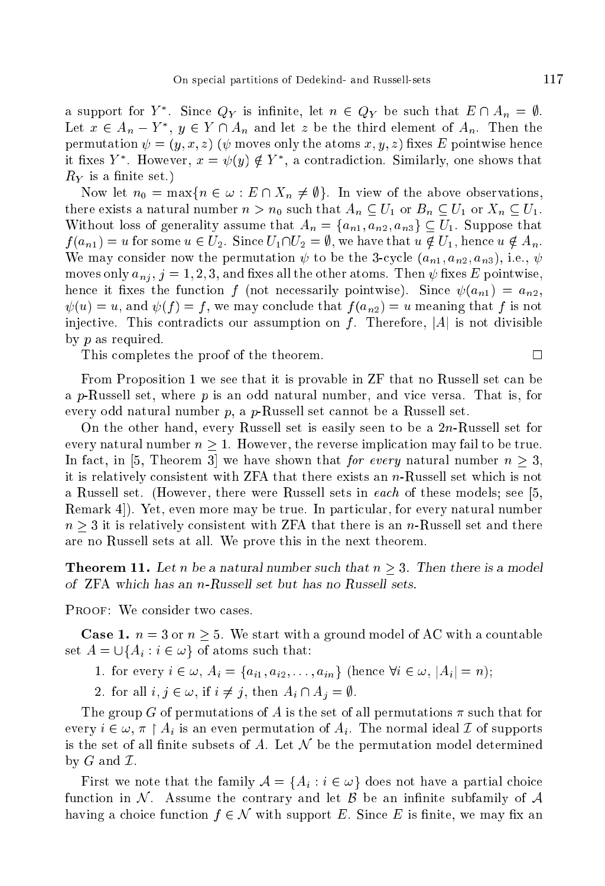a support for  $Y$  . Since  $QY$  is infinite, let  $n \in QY$  be such that  $E \cap A_n = \emptyset$ . Let  $x \in A_n - x$ ,  $y \in Y \cup A_n$  and let z be the third element of  $A_n$ . Then the permutation  $\psi = (y, x, z)$  ( $\psi$  moves only the atoms x, y, z) fixes E pointwise hence It has  $Y$  . However,  $x = \psi(y) \notin Y$  , a contradiction. Similarly, one shows that  $R_Y$  is a finite set.)

Now let  $n_0 = \max\{n \in \omega : E \cap X_n \neq \emptyset\}$ . In view of the above observations, there exists a natural number  $n > n_0$  such that  $A_n \subseteq U_1$  or  $B_n \subseteq U_1$  or  $X_n \subseteq U_1$ . Without loss of generality assume that  $A_n = \{a_{n1}, a_{n2}, a_{n3}\} \subset U_1$ . Suppose that  $f(a_{n1}) = u$  for some  $u \in U_2$ . Since  $U_1 \cap U_2 = \emptyset$ , we have that  $u \notin U_1$ , hence  $u \notin A_n$ . We may consider now the permutation  $\psi$  to be the 3-cycle  $(a_{n1}, a_{n2}, a_{n3})$ , i.e.,  $\psi$ moves only  $a_{ni}$ ,  $j = 1, 2, 3$ , and fixes all the other atoms. Then  $\psi$  fixes E pointwise, hence it fixes the function f (not necessarily pointwise). Since  $\psi(a_{n_1}) = a_{n_2}$ ,  $\psi(u) = u$ , and  $\psi(f) = f$ , we may conclude that  $f(a_{n2}) = u$  meaning that f is not injective. This contradicts our assumption on f. Therefore,  $|A|$  is not divisible by p as required.

This completes the proof of the theorem.

From Proposition 1 we see that it is provable in  $ZF$  that no Russell set can be a p-Russell set, where  $p$  is an odd natural number, and vice versa. That is, for every odd natural number  $p$ , a  $p$ -Russell set cannot be a Russell set.

On the other hand, every Russell set is easily seen to be a  $2n$ -Russell set for every natural number  $n \geq 1$ . However, the reverse implication may fail to be true. In fact, in [5, Theorem 3] we have shown that *for every* natural number  $n > 3$ , it is relatively consistent with  $ZFA$  that there exists an  $n$ -Russell set which is not a Russell set. (However, there were Russell sets in each of these models; see [5, Remark 4. Yet, even more may be true. In particular, for every natural number  $n > 3$  it is relatively consistent with ZFA that there is an n-Russell set and there are no Russell sets at all. We prove this in the next theorem.

**Theorem 11.** Let n be a natural number such that  $n \geq 3$ . Then there is a model of ZFA whi
h has an n-Russell set but has no Russell sets.

PROOF: We consider two cases.

**Case 1.**  $n = 3$  or  $n \geq 5$ . We start with a ground model of AC with a countable set  $A = \bigcup \{A_i : i \in \omega\}$  of atoms such that:

- 1. for every  $i \in \omega$ ,  $A_i = \{a_{i1}, a_{i2}, \ldots, a_{in}\}\$  (hence  $\forall i \in \omega$ ,  $|A_i| = n$ );
- 2. for all  $i, j \in \omega$ , if  $i \neq j$ , then  $A_i \cap A_j = \emptyset$ .

The group G of permutations of A is the set of all permutations  $\pi$  such that for every  $i \in \omega, \pi \restriction A_i$  is an even permutation of  $A_i$ . The normal ideal I of supports is the set of all finite subsets of A. Let  $\mathcal N$  be the permutation model determined by  $G$  and  $\mathcal I$ .

First we note that the family  $A = \{A_i : i \in \omega\}$  does not have a partial choice function in N. Assume the contrary and let  $\beta$  be an infinite subfamily of A having a choice function  $f \in \mathcal{N}$  with support E. Since E is finite, we may fix an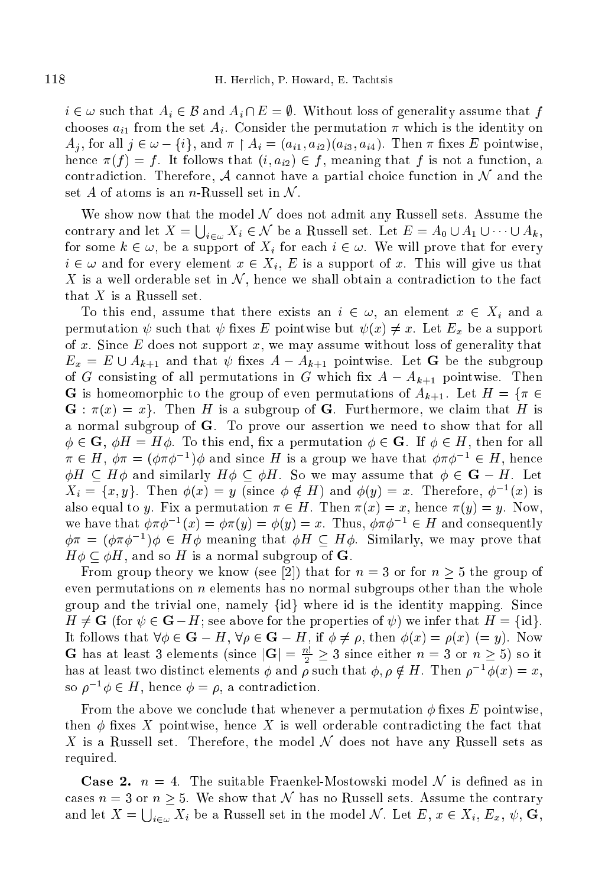$i \in \omega$  such that  $A_i \in \mathcal{B}$  and  $A_i \cap E = \emptyset$ . Without loss of generality assume that f chooses  $a_{i1}$  from the set  $A_i$ . Consider the permutation  $\pi$  which is the identity on  $A_i$ , for all  $j \in \omega - \{i\}$ , and  $\pi \restriction A_i = (a_{i1}, a_{i2})(a_{i3}, a_{i4})$ . Then  $\pi$  fixes E pointwise, hence  $\pi(f) = f$ . It follows that  $(i, a_{i2}) \in f$ , meaning that f is not a function, a contradiction. Therefore, A cannot have a partial choice function in  $\mathcal N$  and the set A of atoms is an n-Russell set in  $\mathcal N$ .

We show now that the model  $N$  does not admit any Russell sets. Assume the contrary and let  $X = \bigcup_{i \in \omega} X_i \in \mathcal{N}$  be a Russell set. Let  $E = A_0 \cup A_1 \cup \cdots \cup A_k$ , for some  $k \in \omega$ , be a support of  $X_i$  for each  $i \in \omega$ . We will prove that for every  $i \in \omega$  and for every element  $x \in X_i$ , E is a support of x. This will give us that X is a well orderable set in  $\mathcal{N}$ , hence we shall obtain a contradiction to the fact that  $X$  is a Russell set.

To this end, assume that there exists an  $i \in \omega$ , an element  $x \in X_i$  and a permutation  $\psi$  such that  $\psi$  fixes E pointwise but  $\psi(x) \neq x$ . Let  $E_x$  be a support of x. Since  $E$  does not support x, we may assume without loss of generality that  $E_x = E \cup A_{k+1}$  and that  $\psi$  fixes  $A - A_{k+1}$  pointwise. Let G be the subgroup of G consisting of all permutations in G which fix  $A - A_{k+1}$  pointwise. Then **G** is homeomorphic to the group of even permutations of  $A_{k+1}$ . Let  $H = \{\pi \in \mathbb{R}^d : |\pi| \leq k\}$  $\mathbf{G} : \pi(x) = x$ . Then H is a subgroup of G. Furthermore, we claim that H is a normal subgroup of G. To prove our assertion we need to show that for all  $\phi \in \mathbf{G}, \ \phi H = H\phi$ . To this end, fix a permutation  $\phi \in \mathbf{G}$ . If  $\phi \in H$ , then for all  $\pi \in \Pi$ ,  $\varphi \pi = (\varphi \pi \varphi^{-1}) \varphi$  and since  $\pi$  is a group we have that  $\varphi \pi \varphi^{-1} \in \Pi$ , hence  $\phi H \subseteq H\phi$  and similarly  $H\phi \subseteq \phi H$ . So we may assume that  $\phi \in \mathbf{G} - H$ . Let  $\Delta_i = \{x, y\}$ . Then  $\varphi(x) = y$  (since  $\varphi \notin \Pi$ ) and  $\varphi(y) = x$ . Therefore,  $\varphi$  (x) is also equal to y. Fix a permutation  $\pi \in H$ . Then  $\pi(x) = x$ , hence  $\pi(y) = y$ . Now, we have that  $\varphi \pi \varphi^{-1}(x) = \varphi \pi(y) = \varphi(y) = x$ . Thus,  $\varphi \pi \varphi^{-1} \in H$  and consequently  $\varphi\pi = (\varphi\pi\varphi^{-1})\varphi \in H\varphi$  meaning that  $\varphi H \subseteq H\varphi$ . Similarly, we may prove that  $H\phi\subset\phi H$ , and so H is a normal subgroup of **G**.

From group theory we know (see [2]) that for  $n = 3$  or for  $n \geq 5$  the group of even permutations on  $n$  elements has no normal subgroups other than the whole group and the trivial one, namely  $\{id\}$  where id is the identity mapping. Since  $H \neq G$  (for  $\psi \in G - H$ ; see above for the properties of  $\psi$ ) we infer that  $H = \{\text{id}\}.$ It follows that  $\forall \phi \in \mathbf{G} - H$ ,  $\forall \rho \in \mathbf{G} - H$ , if  $\phi \neq \rho$ , then  $\phi(x) = \rho(x) (= y)$ . Now **G** has at least 3 elements (since  $|\mathbf{G}| = \frac{1}{2} \geq 3$  since either  $n = 3$  or  $n \geq 5$ ) so it has at least two distinct elements  $\varphi$  and  $\rho$  such that  $\varphi, \rho \notin H$ . Then  $\rho - \varphi(x) = x$ , so  $\rho \quad \varphi \in \Pi$ , hence  $\varphi = \rho$ , a contradiction.

From the above we conclude that whenever a permutation  $\phi$  fixes E pointwise, then  $\phi$  fixes X pointwise, hence X is well orderable contradicting the fact that X is a Russell set. Therefore, the model  $\mathcal N$  does not have any Russell sets as required.

**Case 2.**  $n = 4$ . The suitable Fraenkel-Mostowski model N is defined as in cases  $n = 3$  or  $n \geq 5$ . We show that N has no Russell sets. Assume the contrary and let  $X = \bigcup_{i \in \omega} X_i$  be a Russell set in the model N. Let  $E, x \in X_i, E_x, \psi, G$ ,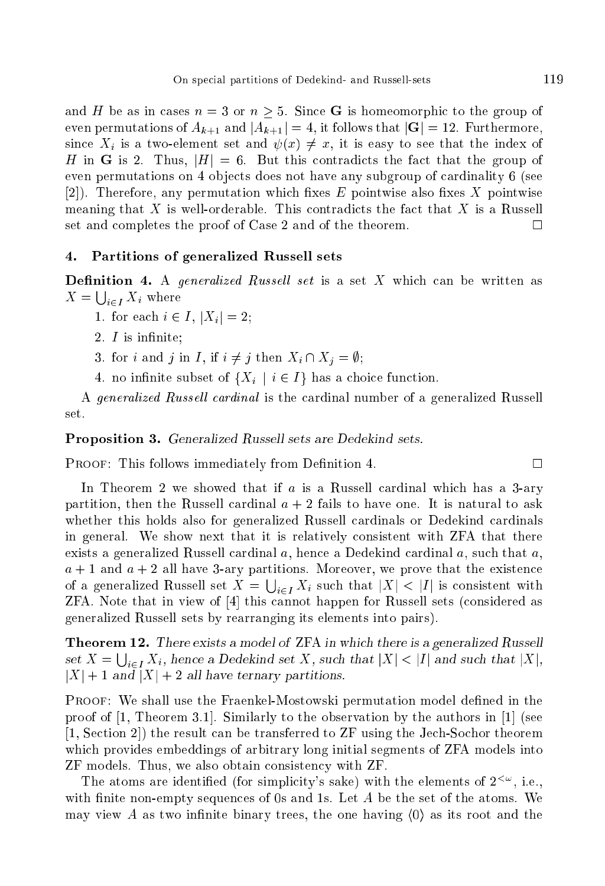and H be as in cases  $n = 3$  or  $n \geq 5$ . Since **G** is homeomorphic to the group of even permutations of  $A_{k+1}$  and  $|A_{k+1}| = 4$ , it follows that  $|\mathbf{G}| = 12$ . Furthermore, since  $X_i$  is a two-element set and  $\psi(x) \neq x$ , it is easy to see that the index of H in G is 2. Thus,  $|H| = 6$ . But this contradicts the fact that the group of even permutations on 4 objects does not have any subgroup of cardinality 6 (see [2]). Therefore, any permutation which fixes  $E$  pointwise also fixes  $X$  pointwise meaning that X is well-orderable. This contradicts the fact that X is a Russell set and ompletes the proof of Case 2 and of the theorem.  $\Box$ 

#### $\overline{4}$ . 4. Partitions of generalized Russell sets

**Definition 4.** A generalized Russell set is a set X which can be written as  $X=\bigcup_{i\in I}X_i$  where

1. for each  $i \in I$ ,  $|X_i| = 2$ ;

- 2.  $I$  is infinite;
- 3. for i and j in I, if  $i \neq j$  then  $X_i \cap X_j = \emptyset;$
- 4. no infinite subset of  $\{X_i \mid i \in I\}$  has a choice function.

A generalized Russell cardinal is the cardinal number of a generalized Russell set.

Proposition 3. Generalized Russell sets are Dedekind sets.

**PROOF:** This follows immediately from Definition 4.  $\Box$ 

In Theorem 2 we showed that if  $a$  is a Russell cardinal which has a 3-ary partition, then the Russell cardinal  $a + 2$  fails to have one. It is natural to ask whether this holds also for generalized Russell cardinals or Dedekind cardinals in general. We show next that it is relatively onsistent with ZFA that there exists a generalized Russell cardinal  $a$ , hence a Dedekind cardinal  $a$ , such that  $a$ ,  $a + 1$  and  $a + 2$  all have 3-ary partitions. Moreover, we prove that the existence of a generalized Russell set  $X = \bigcup_{i \in I} X_i$  such that  $|X| < |I|$  is consistent with  $ZFA$ . Note that in view of  $[4]$  this cannot happen for Russell sets (considered as generalized Russell sets by rearranging its elements into pairs).

**Theorem 12.** There exists a model of ZFA in which there is a generalized Russell set  $X = \bigcup_{i \in I} X_i$ , hence a Dedekind set X, such that  $|X| < |I|$  and such that  $|X|$ ,  $|X| + 1$  and  $|X| + 2$  all have ternary partitions.

PROOF: We shall use the Fraenkel-Mostowski permutation model defined in the proof of  $[1,$  Theorem 3.1. Similarly to the observation by the authors in  $[1]$  (see  $[1, Section 2]$  the result can be transferred to ZF using the Jech-Sochor theorem which provides embeddings of arbitrary long initial segments of ZFA models into ZF models. Thus, we also obtain consistency with ZF.

The atoms are identified (for simplicity's sake) with the elements of  $2^{\langle\omega\rangle}$ , i.e. with finite non-empty sequences of 0s and 1s. Let  $A$  be the set of the atoms. We may view A as two infinite binary trees, the one having  $\langle 0 \rangle$  as its root and the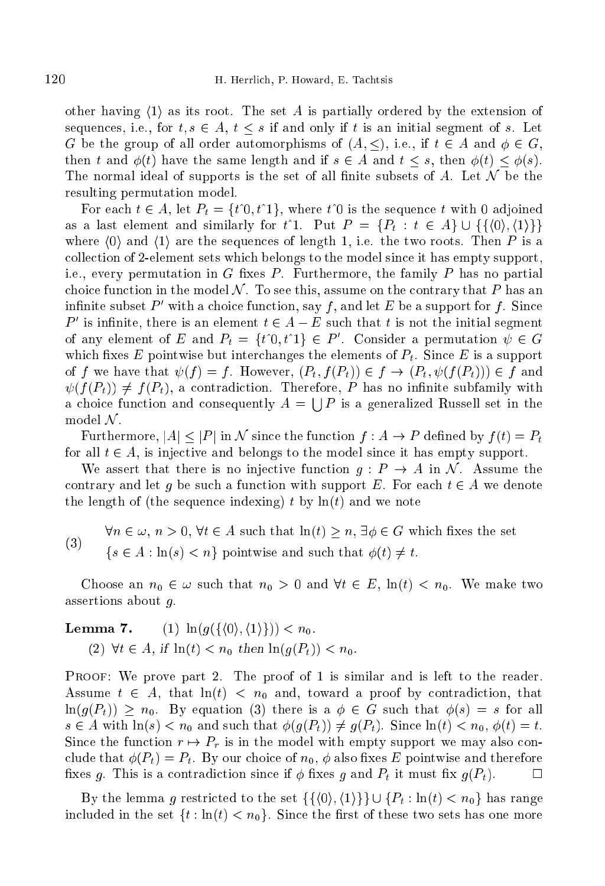other having  $\langle 1 \rangle$  as its root. The set A is partially ordered by the extension of sequences, i.e., for  $t, s \in A$ ,  $t \leq s$  if and only if t is an initial segment of s. Let G be the group of all order automorphisms of  $(A, \leq),$  i.e., if  $t \in A$  and  $\phi \in G$ , then t and  $\phi(t)$  have the same length and if  $s \in A$  and  $t \leq s$ , then  $\phi(t) \leq \phi(s)$ . The normal ideal of supports is the set of all finite subsets of A. Let  $\mathcal N$  be the resulting permutation model.

For each  $t \in A$ , let  $P_t = \{t^0, t^1\}$ , where  $t^0$  is the sequence t with 0 adjoined as a last element and similarly for t<sup>o</sup>1. Put  $P = \{P_t : t \in A\} \cup \{\{\langle 0 \rangle, \langle 1 \rangle\}\}\$ where  $\langle 0 \rangle$  and  $\langle 1 \rangle$  are the sequences of length 1, i.e. the two roots. Then P is a collection of 2-element sets which belongs to the model since it has empty support, i.e., every permutation in  $G$  fixes  $P$ . Furthermore, the family  $P$  has no partial choice function in the model  $N$ . To see this, assume on the contrary that P has an infinite subset  $P$  with a choice function, say f, and let E be a support for f. Since  $P$  is infinite, there is an element  $t \in A - E$  such that t is not the initial segment of any element of E and  $P_t = \{t \cup t | t \in P$  . Consider a permutation  $\psi \in G$ which fixes E pointwise but interchanges the elements of  $P_t$ . Since E is a support of f we have that  $\psi(f) = f$ . However,  $(P_t, f(P_t)) \in f \to (P_t, \psi(f(P_t))) \in f$  and  $\psi(f(P_t)) \neq f(P_t)$ , a contradiction. Therefore, P has no infinite subfamily with a choice function and consequently  $A = \bigcup P$  is a generalized Russell set in the model  $N$ .

Furthermore,  $|A| \leq |P|$  in N since the function  $f : A \to P$  defined by  $f(t) = P_t$ for all  $t \in A$ , is injective and belongs to the model since it has empty support.

We assert that there is no injective function  $g: P \to A$  in N. Assume the contrary and let g be such a function with support E. For each  $t \in A$  we denote the length of (the sequence indexing) t by  $\ln(t)$  and we note

(3) 
$$
\forall n \in \omega, n > 0, \forall t \in A \text{ such that } \ln(t) \geq n, \exists \phi \in G \text{ which fixes the set}
$$
\n $\{s \in A : \ln(s) < n\}$  pointwise and such that  $\phi(t) \neq t$ .

Choose an  $n_0 \in \omega$  such that  $n_0 > 0$  and  $\forall t \in E$ ,  $\ln(t) < n_0$ . We make two assertions about g.

# **Lemma 7.** (1)  $\ln(q(\{\langle 0 \rangle, \langle 1 \rangle\})) < n_0$ . (2)  $\forall t \in A$ , if  $\ln(t) < n_0$  then  $\ln(g(P_t)) < n_0$ .

Proof: We prove part 2. The proof of 1 is similar and is left to the reader. Assume  $t \in A$ , that  $\ln(t) < n_0$  and, toward a proof by contradiction, that  $\ln(g(P_t)) \geq n_0$ . By equation (3) there is a  $\phi \in G$  such that  $\phi(s) = s$  for all  $s \in A$  with  $\ln(s) < n_0$  and such that  $\phi(g(P_t)) \neq g(P_t)$ . Since  $\ln(t) < n_0$ ,  $\phi(t) = t$ . Since the function  $r \mapsto P_r$  is in the model with empty support we may also conclude that  $\phi(P_t) = P_t$ . By our choice of  $n_0$ ,  $\phi$  also fixes E pointwise and therefore fixes g. This is a contradiction since if  $\phi$  fixes g and  $P_t$  it must fix  $g(P_t)$ .  $\Box$ 

By the lemma g restricted to the set  $\{\{\langle 0\rangle,\langle 1\rangle\}\}\cup \{P_t: \ln(t) < n_0\}$  has range included in the set  $\{t : \ln(t) < n_0\}$ . Since the first of these two sets has one more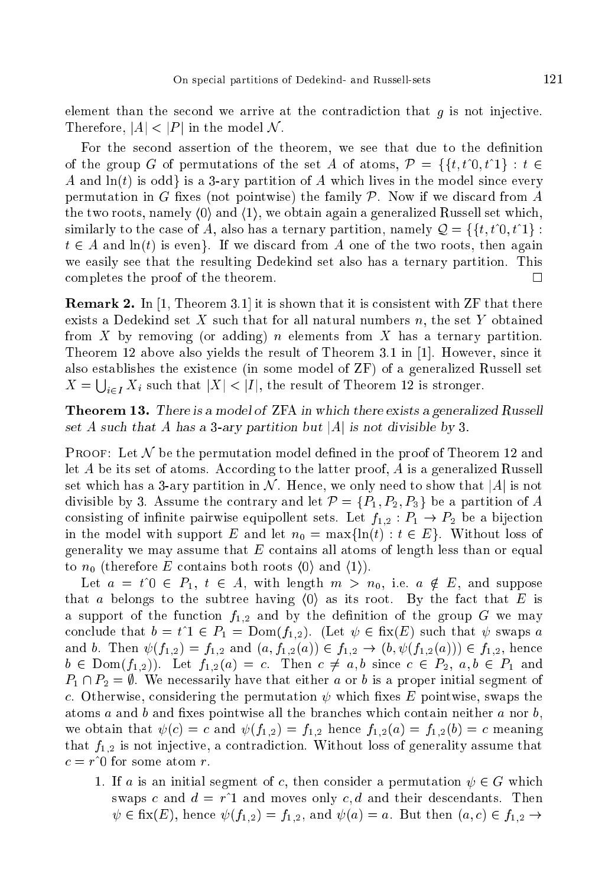element than the second we arrive at the contradiction that  $g$  is not injective. Therefore,  $|A| < |P|$  in the model N.

For the second assertion of the theorem, we see that due to the definition of the group G of permutations of the set A of atoms,  $\mathcal{P} = \{ \{t, t^0, t^1\} : t \in$ A and  $ln(t)$  is odd is a 3-ary partition of A which lives in the model since every permutation in G fixes (not pointwise) the family  $P$ . Now if we discard from A the two roots, namely  $\langle 0 \rangle$  and  $\langle 1 \rangle$ , we obtain again a generalized Russell set which, similarly to the case of A, also has a ternary partition, namely  $\mathcal{Q} = \{ \{t, t\hat{v}, t\hat{v}\} :$  $t \in A$  and  $\ln(t)$  is even. If we discard from A one of the two roots, then again we easily see that the resulting Dedekind set also has a ternary partition. This ompletes the proof of the theorem.  $\Box$ 

**Remark 2.** In [1, Theorem 3.1] it is shown that it is consistent with ZF that there exists a Dedekind set  $X$  such that for all natural numbers  $n$ , the set  $Y$  obtained from X by removing (or adding) n elements from X has a ternary partition. Theorem 12 above also yields the result of Theorem 3.1 in  $[1]$ . However, since it also establishes the existen
e (in some model of ZF) of a generalized Russell set  $X = \bigcup_{i \in I} X_i$  such that  $|X| < |I|$ , the result of Theorem 12 is stronger.

Theorem 13. There is a model of ZFA in which there exists a generalized Russell set A such that A has a 3-ary partition but |A| is not divisible by 3.

**PROOF:** Let  $\mathcal N$  be the permutation model defined in the proof of Theorem 12 and let  $A$  be its set of atoms. According to the latter proof,  $A$  is a generalized Russell set which has a 3-ary partition in N. Hence, we only need to show that  $|A|$  is not divisible by 3. Assume the contrary and let  $\mathcal{P} = \{P_1, P_2, P_3\}$  be a partition of A consisting of infinite pairwise equipollent sets. Let  $f_{1,2}: P_1 \rightarrow P_2$  be a bijection in the model with support E and let  $n_0 = \max\{\ln(t) : t \in E\}$ . Without loss of generality we may assume that  $E$  contains all atoms of length less than or equal to  $n_0$  (therefore E contains both roots  $\langle 0 \rangle$  and  $\langle 1 \rangle$ ).

Let  $a = t^0 \in P_1, t \in A$ , with length  $m > n_0$ , i.e.  $a \notin E$ , and suppose that a belongs to the subtree having  $\langle 0 \rangle$  as its root. By the fact that E is a support of the function  $f_{1,2}$  and by the definition of the group G we may conclude that  $b = t^1 \in P_1 = \text{Dom}(f_{1,2})$ . (Let  $\psi \in \text{fix}(E)$  such that  $\psi$  swaps a and b. Then  $\psi(f_{1,2}) = f_{1,2}$  and  $(a, f_{1,2}(a)) \in f_{1,2} \to (b, \psi(f_{1,2}(a))) \in f_{1,2}$ , hence  $b \in \text{Dom}(f_{1,2})$ . Let  $f_{1,2}(a) = c$ . Then  $c \neq a, b$  since  $c \in P_2$ ,  $a, b \in P_1$  and  $P_1 \cap P_2 = \emptyset$ . We necessarily have that either a or b is a proper initial segment of c. Otherwise, considering the permutation  $\psi$  which fixes E pointwise, swaps the atoms  $a$  and  $b$  and fixes pointwise all the branches which contain neither  $a$  nor  $b$ , we obtain that  $\psi(c) = c$  and  $\psi(f_{1,2}) = f_{1,2}$  hence  $f_{1,2}(a) = f_{1,2}(b) = c$  meaning that  $f_{1,2}$  is not injective, a contradiction. Without loss of generality assume that  $c = r^0$  for some atom r.

1. If a is an initial segment of c, then consider a permutation  $\psi \in G$  which swaps c and  $d = r^2$  and moves only c, d and their descendants. Then  $\psi \in$  fix(E), hence  $\psi(f_{1,2}) = f_{1,2}$ , and  $\psi(a) = a$ . But then  $(a, c) \in f_{1,2} \rightarrow$